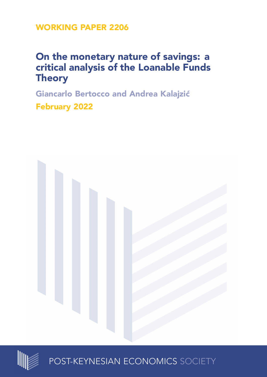**WORKING PAPER 2206**

# **On the monetary nature of savings: a critical analysis of the Loanable Funds Theory**

**Giancarlo Bertocco and Andrea Kalajzić February 2022**





POST-KEYNESIAN ECONOMICS SOCIETY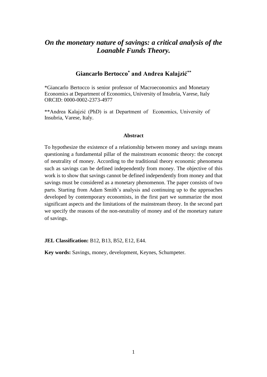## *On the monetary nature of savings: a critical analysis of the Loanable Funds Theory.*

### **Giancarlo Bertocco\* and Andrea Kalajzić\*\***

\*Giancarlo Bertocco is senior professor of Macroeconomics and Monetary Economics at Department of Economics, University of Insubria, Varese, Italy ORCID: 0000-0002-2373-4977

\*\*Andrea Kalajzić (PhD) is at Department of Economics, University of Insubria, Varese, Italy.

#### **Abstract**

To hypothesize the existence of a relationship between money and savings means questioning a fundamental pillar of the mainstream economic theory: the concept of neutrality of money. According to the traditional theory economic phenomena such as savings can be defined independently from money. The objective of this work is to show that savings cannot be defined independently from money and that savings must be considered as a monetary phenomenon. The paper consists of two parts. Starting from Adam Smith's analysis and continuing up to the approaches developed by contemporary economists, in the first part we summarize the most significant aspects and the limitations of the mainstream theory. In the second part we specify the reasons of the non-neutrality of money and of the monetary nature of savings.

**JEL Classification:** B12, B13, B52, E12, E44.

**Key words:** Savings, money, development, Keynes, Schumpeter.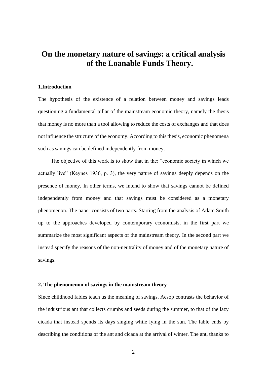# **On the monetary nature of savings: a critical analysis of the Loanable Funds Theory.**

#### **1.Introduction**

The hypothesis of the existence of a relation between money and savings leads questioning a fundamental pillar of the mainstream economic theory, namely the thesis that money is no more than a tool allowing to reduce the costs of exchanges and that does not influence the structure of the economy. According to this thesis, economic phenomena such as savings can be defined independently from money.

The objective of this work is to show that in the: "economic society in which we actually live" (Keynes 1936, p. 3), the very nature of savings deeply depends on the presence of money. In other terms, we intend to show that savings cannot be defined independently from money and that savings must be considered as a monetary phenomenon. The paper consists of two parts. Starting from the analysis of Adam Smith up to the approaches developed by contemporary economists, in the first part we summarize the most significant aspects of the mainstream theory. In the second part we instead specify the reasons of the non-neutrality of money and of the monetary nature of savings.

#### **2. The phenomenon of savings in the mainstream theory**

Since childhood fables teach us the meaning of savings. Aesop contrasts the behavior of the industrious ant that collects crumbs and seeds during the summer, to that of the lazy cicada that instead spends its days singing while lying in the sun. The fable ends by describing the conditions of the ant and cicada at the arrival of winter. The ant, thanks to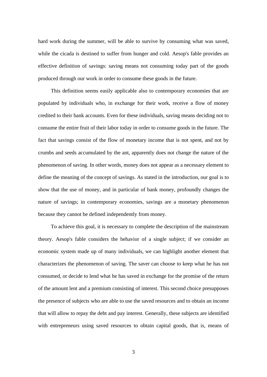hard work during the summer, will be able to survive by consuming what was saved, while the cicada is destined to suffer from hunger and cold. Aesop's fable provides an effective definition of savings: saving means not consuming today part of the goods produced through our work in order to consume these goods in the future.

This definition seems easily applicable also to contemporary economies that are populated by individuals who, in exchange for their work, receive a flow of money credited to their bank accounts. Even for these individuals, saving means deciding not to consume the entire fruit of their labor today in order to consume goods in the future. The fact that savings consist of the flow of monetary income that is not spent, and not by crumbs and seeds accumulated by the ant, apparently does not change the nature of the phenomenon of saving. In other words, money does not appear as a necessary element to define the meaning of the concept of savings. As stated in the introduction, our goal is to show that the use of money, and in particular of bank money, profoundly changes the nature of savings; in contemporary economies, savings are a monetary phenomenon because they cannot be defined independently from money.

To achieve this goal, it is necessary to complete the description of the mainstream theory. Aesop's fable considers the behavior of a single subject; if we consider an economic system made up of many individuals, we can highlight another element that characterizes the phenomenon of saving. The saver can choose to keep what he has not consumed, or decide to lend what he has saved in exchange for the promise of the return of the amount lent and a premium consisting of interest. This second choice presupposes the presence of subjects who are able to use the saved resources and to obtain an income that will allow to repay the debt and pay interest. Generally, these subjects are identified with entrepreneurs using saved resources to obtain capital goods, that is, means of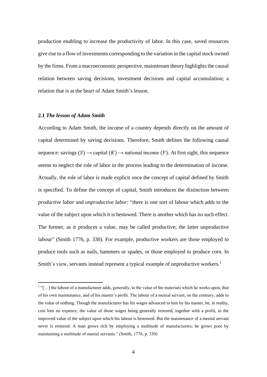production enabling to increase the productivity of labor. In this case, saved resources give rise to a flow of investments corresponding to the variation in the capital stock owned by the firms. From a macroeconomic perspective, mainstream theory highlights the causal relation between saving decisions, investment decisions and capital accumulation; a relation that is at the heart of Adam Smith's lesson.

#### **2.1** *The lesson of Adam Smith*

According to Adam Smith, the income of a country depends directly on the amount of capital determined by saving decisions. Therefore, Smith defines the following causal sequence: savings  $(S) \rightarrow$  capital  $(K) \rightarrow$  national income  $(Y)$ . At first sight, this sequence seems to neglect the role of labor in the process leading to the determination of income. Actually, the role of labor is made explicit once the concept of capital defined by Smith is specified. To define the concept of capital, Smith introduces the distinction between *productive labor* and *unproductive labor*: "there is one sort of labour which adds to the value of the subject upon which it is bestowed. There is another which has no such effect. The former, as it produces a value, may be called productive; the latter unproductive labour" (Smith 1776, p. 330). For example, productive workers are those employed to produce tools such as nails, hammers or spades, or those employed to produce corn. In Smith's view, servants instead represent a typical example of unproductive workers.<sup>1</sup>

<sup>&</sup>lt;sup>1</sup>"[...] the labour of a manufacturer adds, generally, to the value of the materials which he works upon, that of his own maintenance, and of his master's profit. The labour of a menial servant, on the contrary, adds to the value of nothing. Though the manufacturer has his wages advanced to him by his master, he, in reality, cost him no expence, the value of those wages being generally restored, together with a profit, in the improved value of the subject upon which his labour is bestowed. But the maintenance of a menial servant never is restored. A man grows rich by employing a multitude of manufacturers; he grows poor by maintaining a multitude of menial servants." (Smith, 1776, p. 330)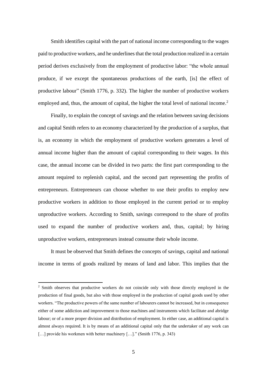Smith identifies capital with the part of national income corresponding to the wages paid to productive workers, and he underlines that the total production realized in a certain period derives exclusively from the employment of productive labor: "the whole annual produce, if we except the spontaneous productions of the earth, [is] the effect of productive labour" (Smith 1776, p. 332). The higher the number of productive workers employed and, thus, the amount of capital, the higher the total level of national income.<sup>2</sup>

Finally, to explain the concept of savings and the relation between saving decisions and capital Smith refers to an economy characterized by the production of a surplus, that is, an economy in which the employment of productive workers generates a level of annual income higher than the amount of capital corresponding to their wages. In this case, the annual income can be divided in two parts: the first part corresponding to the amount required to replenish capital, and the second part representing the profits of entrepreneurs. Entrepreneurs can choose whether to use their profits to employ new productive workers in addition to those employed in the current period or to employ unproductive workers. According to Smith, savings correspond to the share of profits used to expand the number of productive workers and, thus, capital; by hiring unproductive workers, entrepreneurs instead consume their whole income.

It must be observed that Smith defines the concepts of savings, capital and national income in terms of goods realized by means of land and labor. This implies that the

<sup>&</sup>lt;sup>2</sup> Smith observes that productive workers do not coincide only with those directly employed in the production of final goods, but also with those employed in the production of capital goods used by other workers. "The productive powers of the same number of labourers cannot be increased, but in consequence either of some addiction and improvement to those machines and instruments which facilitate and abridge labour; or of a more proper division and distribution of employment. In either case, an additional capital is almost always required. It is by means of an additional capital only that the undertaker of any work can [...] provide his workmen with better machinery [...]." (Smith 1776, p. 343)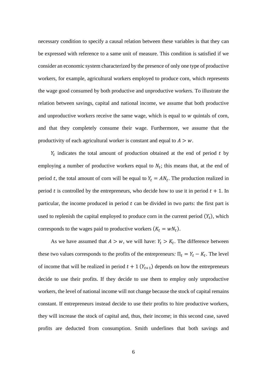necessary condition to specify a causal relation between these variables is that they can be expressed with reference to a same unit of measure. This condition is satisfied if we consider an economic system characterized by the presence of only one type of productive workers, for example, agricultural workers employed to produce corn, which represents the wage good consumed by both productive and unproductive workers. To illustrate the relation between savings, capital and national income, we assume that both productive and unproductive workers receive the same wage, which is equal to  $w$  quintals of corn, and that they completely consume their wage. Furthermore, we assume that the productivity of each agricultural worker is constant and equal to  $A > w$ .

 $Y_t$  indicates the total amount of production obtained at the end of period  $t$  by employing a number of productive workers equal to  $N_t$ ; this means that, at the end of period t, the total amount of corn will be equal to  $Y_t = AN_t$ . The production realized in period t is controlled by the entrepreneurs, who decide how to use it in period  $t + 1$ . In particular, the income produced in period  $t$  can be divided in two parts: the first part is used to replenish the capital employed to produce corn in the current period  $(Y_t)$ , which corresponds to the wages paid to productive workers  $(K_t = wN_t)$ .

As we have assumed that  $A > w$ , we will have:  $Y_t > K_t$ . The difference between these two values corresponds to the profits of the entrepreneurs:  $\Pi_t = Y_t - K_t$ . The level of income that will be realized in period  $t + 1$   $(Y_{t+1})$  depends on how the entrepreneurs decide to use their profits. If they decide to use them to employ only unproductive workers, the level of national income will not change because the stock of capital remains constant. If entrepreneurs instead decide to use their profits to hire productive workers, they will increase the stock of capital and, thus, their income; in this second case, saved profits are deducted from consumption. Smith underlines that both savings and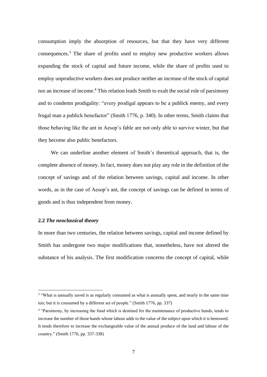consumption imply the absorption of resources, but that they have very different consequences.<sup>3</sup> The share of profits used to employ new productive workers allows expanding the stock of capital and future income, while the share of profits used to employ unproductive workers does not produce neither an increase of the stock of capital nor an increase of income.<sup>4</sup> This relation leads Smith to exalt the social role of parsimony and to condemn prodigality: "every prodigal appears to be a publick enemy, and every frugal man a publick benefactor" (Smith 1776, p. 340). In other terms, Smith claims that those behaving like the ant in Aesop's fable are not only able to survive winter, but that they become also public benefactors.

We can underline another element of Smith's theoretical approach, that is, the complete absence of money. In fact, money does not play any role in the definition of the concept of savings and of the relation between savings, capital and income. In other words, as in the case of Aesop's ant, the concept of savings can be defined in terms of goods and is thus independent from money.

#### **2.2** *The neoclassical theory*

In more than two centuries, the relation between savings, capital and income defined by Smith has undergone two major modifications that, nonetheless, have not altered the substance of his analysis. The first modification concerns the concept of capital, while

<sup>&</sup>lt;sup>3</sup> "What is annually saved is as regularly consumed as what is annually spent, and nearly in the same time too; but it is consumed by a different set of people." (Smith 1776, pp. 337)

<sup>4</sup> "Parsimony, by increasing the fund which is destined for the maintenance of productive hands, tends to increase the number of those hands whose labour adds to the value of the subject upon which it is bestowed. It tends therefore to increase the exchangeable value of the annual produce of the land and labour of the country." (Smith 1776, pp. 337-338)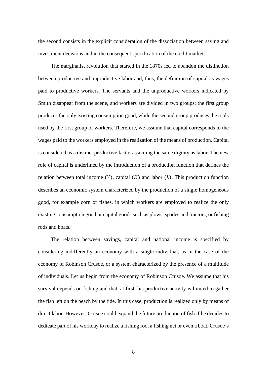the second consists in the explicit consideration of the dissociation between saving and investment decisions and in the consequent specification of the credit market.

The marginalist revolution that started in the 1870s led to abandon the distinction between productive and unproductive labor and, thus, the definition of capital as wages paid to productive workers. The servants and the unproductive workers indicated by Smith disappear from the scene, and workers are divided in two groups: the first group produces the only existing consumption good, while the second group produces the tools used by the first group of workers. Therefore, we assume that capital corresponds to the wages paid to the workers employed in the realization of the means of production. Capital is considered as a distinct productive factor assuming the same dignity as labor. The new role of capital is underlined by the introduction of a production function that defines the relation between total income  $(Y)$ , capital  $(K)$  and labor  $(L)$ . This production function describes an economic system characterized by the production of a single homogeneous good, for example corn or fishes, in which workers are employed to realize the only existing consumption good or capital goods such as plows, spades and tractors, or fishing rods and boats.

The relation between savings, capital and national income is specified by considering indifferently an economy with a single individual, as in the case of the economy of Robinson Crusoe, or a system characterized by the presence of a multitude of individuals. Let us begin from the economy of Robinson Crusoe. We assume that his survival depends on fishing and that, at first, his productive activity is limited to gather the fish left on the beach by the tide. In this case, production is realized only by means of direct labor. However, Crusoe could expand the future production of fish if he decides to dedicate part of his workday to realize a fishing rod, a fishing net or even a boat. Crusoe's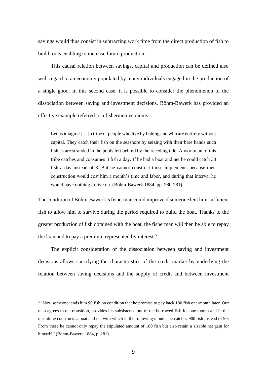savings would thus consist in subtracting work time from the direct production of fish to build tools enabling to increase future production.

This causal relation between savings, capital and production can be defined also with regard to an economy populated by many individuals engaged in the production of a single good. In this second case, it is possible to consider the phenomenon of the dissociation between saving and investment decisions. Böhm-Bawerk has provided an effective example referred to a fishermen-economy:

Let us imagine [...] a tribe of people who live by fishing and who are entirely without capital. They catch their fish on the seashore by seizing with their bare hands such fish as are stranded in the pools left behind by the receding tide. A workman of this tribe catches and consumes 3 fish a day. If he had a boat and net he could catch 30 fish a day instead of 3. But he cannot construct those implements because their construction would cost him a month's time and labor, and during that interval he would have nothing to live on. (Böhm-Bawerk 1884, pp. 280-281)

The condition of Böhm-Bawerk's fisherman could improve if someone lent him sufficient fish to allow him to survive during the period required to build the boat. Thanks to the greater production of fish obtained with the boat, the fisherman will then be able to repay the loan and to pay a premium represented by interest.<sup>5</sup>

The explicit consideration of the dissociation between saving and investment decisions allows specifying the characteristics of the credit market by underlying the relation between saving decisions and the supply of credit and between investment

<sup>&</sup>lt;sup>5</sup> "Now someone lends him 90 fish on condition that he promise to pay back 180 fish one-month later. Our man agrees to the transition, provides his subsistence out of the borrowed fish for one month and in the meantime constructs a boat and net with which in the following months he catches 900 fish instead of 90. From these he cannot only repay the stipulated amount of 180 fish but also retain a sizable net gain for himself." (Böhm-Bawerk 1884, p. 281)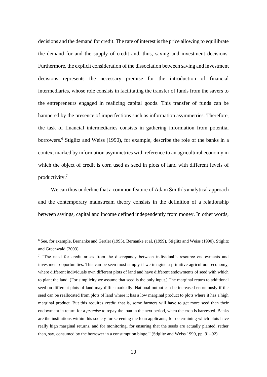decisions and the demand for credit. The rate of interest is the price allowing to equilibrate the demand for and the supply of credit and, thus, saving and investment decisions. Furthermore, the explicit consideration of the dissociation between saving and investment decisions represents the necessary premise for the introduction of financial intermediaries, whose role consists in facilitating the transfer of funds from the savers to the entrepreneurs engaged in realizing capital goods. This transfer of funds can be hampered by the presence of imperfections such as information asymmetries. Therefore, the task of financial intermediaries consists in gathering information from potential borrowers. <sup>6</sup> Stiglitz and Weiss (1990), for example, describe the role of the banks in a context marked by information asymmetries with reference to an agricultural economy in which the object of credit is corn used as seed in plots of land with different levels of productivity.<sup>7</sup>

We can thus underline that a common feature of Adam Smith's analytical approach and the contemporary mainstream theory consists in the definition of a relationship between savings, capital and income defined independently from money. In other words,

<sup>6</sup> See, for example, Bernanke and Gertler (1995), Bernanke et al. (1999), Stiglitz and Weiss (1990), Stiglitz and Greenwald (2003).

<sup>&</sup>lt;sup>7</sup> "The need for credit arises from the discrepancy between individual's resource endowments and investment opportunities. This can be seen most simply if we imagine a primitive agricultural economy, where different individuals own different plots of land and have different endowments of seed with which to plant the land. (For simplicity we assume that seed is the only input.) The marginal return to additional seed on different plots of land may differ markedly. National output can be increased enormously if the seed can be reallocated from plots of land where it has a low marginal product to plots where it has a high marginal product. But this requires *credit*, that is, some farmers will have to get more seed than their endowment in return for a *promise* to repay the loan in the next period, when the crop is harvested. Banks are the institutions within this society for screening the loan applicants, for determining which plots have really high marginal returns, and for monitoring, for ensuring that the seeds are actually planted, rather than, say, consumed by the borrower in a consumption binge." (Stiglitz and Weiss 1990, pp. 91–92)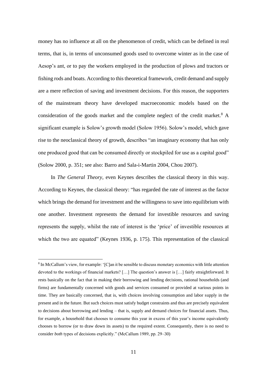money has no influence at all on the phenomenon of credit, which can be defined in real terms, that is, in terms of unconsumed goods used to overcome winter as in the case of Aesop's ant, or to pay the workers employed in the production of plows and tractors or fishing rods and boats. According to this theoretical framework, credit demand and supply are a mere reflection of saving and investment decisions. For this reason, the supporters of the mainstream theory have developed macroeconomic models based on the consideration of the goods market and the complete neglect of the credit market.<sup>8</sup> A significant example is Solow's growth model (Solow 1956). Solow's model, which gave rise to the neoclassical theory of growth, describes "an imaginary economy that has only one produced good that can be consumed directly or stockpiled for use as a capital good" (Solow 2000, p. 351; see also: Barro and Sala-i-Martin 2004, Chou 2007).

In *The General Theory*, even Keynes describes the classical theory in this way. According to Keynes, the classical theory: "has regarded the rate of interest as the factor which brings the demand for investment and the willingness to save into equilibrium with one another. Investment represents the demand for investible resources and saving represents the supply, whilst the rate of interest is the 'price' of investible resources at which the two are equated" (Keynes 1936, p. 175). This representation of the classical

<sup>&</sup>lt;sup>8</sup> In McCallum's view, for example: '[C]an it be sensible to discuss monetary economics with little attention devoted to the workings of financial markets? […] The question's answer is […] fairly straightforward. It rests basically on the fact that in making their borrowing and lending decisions, rational households (and firms) are fundamentally concerned with goods and services consumed or provided at various points in time. They are basically concerned, that is, with choices involving consumption and labor supply in the present and in the future. But such choices must satisfy budget constraints and thus are precisely equivalent to decisions about borrowing and lending – that is, supply and demand choices for financial assets. Thus, for example, a household that chooses to consume this year in excess of this year's income equivalently chooses to borrow (or to draw down its assets) to the required extent. Consequently, there is no need to consider *both* types of decisions explicitly." (McCallum 1989, pp. 29–30)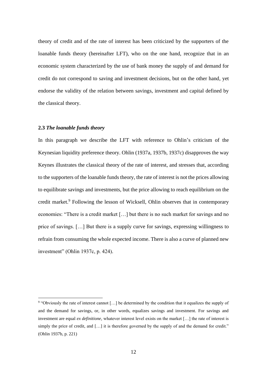theory of credit and of the rate of interest has been criticized by the supporters of the loanable funds theory (hereinafter LFT), who on the one hand, recognize that in an economic system characterized by the use of bank money the supply of and demand for credit do not correspond to saving and investment decisions, but on the other hand, yet endorse the validity of the relation between savings, investment and capital defined by the classical theory.

#### **2.3** *The loanable funds theory*

In this paragraph we describe the LFT with reference to Ohlin's criticism of the Keynesian liquidity preference theory. Ohlin (1937a, 1937b, 1937c) disapproves the way Keynes illustrates the classical theory of the rate of interest, and stresses that, according to the supporters of the loanable funds theory, the rate of interest is not the prices allowing to equilibrate savings and investments, but the price allowing to reach equilibrium on the credit market.<sup>9</sup> Following the lesson of Wicksell, Ohlin observes that in contemporary economies: "There is a credit market […] but there is no such market for savings and no price of savings. […] But there is a supply curve for savings, expressing willingness to refrain from consuming the whole expected income. There is also a curve of planned new investment" (Ohlin 1937c, p. 424).

<sup>&</sup>lt;sup>9</sup> "Obviously the rate of interest cannot [...] be determined by the condition that it equalizes the supply of and the demand for savings, or, in other words, equalizes savings and investment. For savings and investment are equal *ex definitione,* whatever interest level exists on the market […] the rate of interest is simply the price of credit, and [...] it is therefore governed by the supply of and the demand for credit." (Ohlin 1937b, p. 221)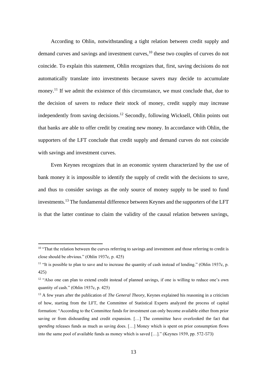According to Ohlin, notwithstanding a tight relation between credit supply and demand curves and savings and investment curves,<sup>10</sup> these two couples of curves do not coincide. To explain this statement, Ohlin recognizes that, first, saving decisions do not automatically translate into investments because savers may decide to accumulate money.<sup>11</sup> If we admit the existence of this circumstance, we must conclude that, due to the decision of savers to reduce their stock of money, credit supply may increase independently from saving decisions.<sup>12</sup> Secondly, following Wicksell, Ohlin points out that banks are able to offer credit by creating new money. In accordance with Ohlin, the supporters of the LFT conclude that credit supply and demand curves do not coincide with savings and investment curves.

Even Keynes recognizes that in an economic system characterized by the use of bank money it is impossible to identify the supply of credit with the decisions to save, and thus to consider savings as the only source of money supply to be used to fund investments.<sup>13</sup> The fundamental difference between Keynes and the supporters of the LFT is that the latter continue to claim the validity of the causal relation between savings,

<sup>&</sup>lt;sup>10</sup> "That the relation between the curves referring to savings and investment and those referring to credit is close should be obvious." (Ohlin 1937c, p. 425)

<sup>&</sup>lt;sup>11</sup> "It is possible to plan to save and to increase the quantity of cash instead of lending." (Ohlin 1937c, p. 425)

<sup>&</sup>lt;sup>12</sup> "Also one can plan to extend credit instead of planned savings, if one is willing to reduce one's own quantity of cash." (Ohlin 1937c, p. 425)

<sup>13</sup> A few years after the publication of *The General Theory,* Keynes explained his reasoning in a criticism of how, starting from the LFT, the Committee of Statistical Experts analyzed the process of capital formation: "According to the Committee funds for investment can only become available either from prior saving or from dishoarding and credit expansion. […] The committee have overlooked the fact that *spending* releases funds as much as saving does. […] Money which is spent on prior consumption flows into the same pool of available funds as money which is saved […]." (Keynes 1939, pp. 572-573)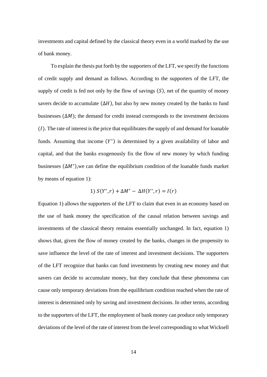investments and capital defined by the classical theory even in a world marked by the use of bank money.

To explain the thesis put forth by the supporters of the LFT, we specify the functions of credit supply and demand as follows. According to the supporters of the LFT, the supply of credit is fed not only by the flow of savings  $(S)$ , net of the quantity of money savers decide to accumulate  $(\Delta H)$ , but also by new money created by the banks to fund businesses  $(\Delta M)$ ; the demand for credit instead corresponds to the investment decisions  $(1)$ . The rate of interest is the price that equilibrates the supply of and demand for loanable funds. Assuming that income  $(Y^*)$  is determined by a given availability of labor and capital, and that the banks exogenously fix the flow of new money by which funding businesses (∆<sup>∗</sup> ),we can define the equilibrium condition of the loanable funds market by means of equation 1):

1) 
$$
S(Y^*, r) + \Delta M^* - \Delta H(Y^*, r) = I(r)
$$

Equation 1) allows the supporters of the LFT to claim that even in an economy based on the use of bank money the specification of the causal relation between savings and investments of the classical theory remains essentially unchanged. In fact, equation 1) shows that, given the flow of money created by the banks, changes in the propensity to save influence the level of the rate of interest and investment decisions. The supporters of the LFT recognize that banks can fund investments by creating new money and that savers can decide to accumulate money, but they conclude that these phenomena can cause only temporary deviations from the equilibrium condition reached when the rate of interest is determined only by saving and investment decisions. In other terms, according to the supporters of the LFT, the employment of bank money can produce only temporary deviations of the level of the rate of interest from the level corresponding to what Wicksell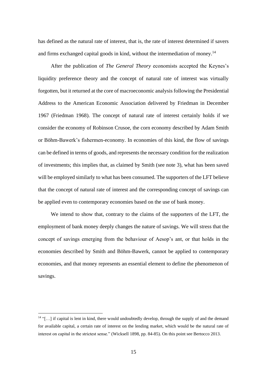has defined as the natural rate of interest, that is, the rate of interest determined if savers and firms exchanged capital goods in kind, without the intermediation of money.<sup>14</sup>

After the publication of *The General Theory* economists accepted the Keynes's liquidity preference theory and the concept of natural rate of interest was virtually forgotten, but it returned at the core of macroeconomic analysis following the Presidential Address to the American Economic Association delivered by Friedman in December 1967 (Friedman 1968). The concept of natural rate of interest certainly holds if we consider the economy of Robinson Crusoe, the corn economy described by Adam Smith or Böhm-Bawerk's fishermen-economy. In economies of this kind, the flow of savings can be defined in terms of goods, and represents the necessary condition for the realization of investments; this implies that, as claimed by Smith (see note 3), what has been saved will be employed similarly to what has been consumed. The supporters of the LFT believe that the concept of natural rate of interest and the corresponding concept of savings can be applied even to contemporary economies based on the use of bank money.

We intend to show that, contrary to the claims of the supporters of the LFT, the employment of bank money deeply changes the nature of savings. We will stress that the concept of savings emerging from the behaviour of Aesop's ant, or that holds in the economies described by Smith and Böhm-Bawerk, cannot be applied to contemporary economies, and that money represents an essential element to define the phenomenon of savings.

 $14$  "[...] if capital is lent in kind, there would undoubtedly develop, through the supply of and the demand for available capital, a certain rate of interest on the lending market, which would be the natural rate of interest on capital in the strictest sense." (Wicksell 1898, pp. 84-85). On this point see Bertocco 2013.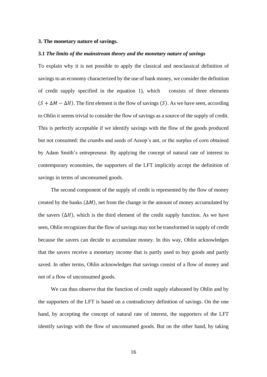#### **3. The monetary nature of savings.**

#### **3.1** *The limits of the mainstream theory and the monetary nature of savings*

To explain why it is not possible to apply the classical and neoclassical definition of savings to an economy characterized by the use of bank money, we consider the definition of credit supply specified in the equation 1), which consists of three elements  $(S + \Delta M - \Delta H)$ . The first element is the flow of savings (S). As we have seen, according to Ohlin it seems trivial to consider the flow of savings as a source of the supply of credit. This is perfectly acceptable if we identify savings with the flow of the goods produced but not consumed: the crumbs and seeds of Aesop's ant, or the surplus of corn obtained by Adam Smith's entrepreneur. By applying the concept of natural rate of interest to contemporary economies, the supporters of the LFT implicitly accept the definition of savings in terms of unconsumed goods.

The second component of the supply of credit is represented by the flow of money created by the banks  $(\Delta M)$ , net from the change in the amount of money accumulated by the savers  $(\Delta H)$ , which is the third element of the credit supply function. As we have seen, Ohlin recognizes that the flow of savings may not be transformed in supply of credit because the savers can decide to accumulate money. In this way, Ohlin acknowledges that the savers receive a monetary income that is partly used to buy goods and partly saved. In other terms, Ohlin acknowledges that savings consist of a flow of money and not of a flow of unconsumed goods.

We can thus observe that the function of credit supply elaborated by Ohlin and by the supporters of the LFT is based on a contradictory definition of savings. On the one hand, by accepting the concept of natural rate of interest, the supporters of the LFT identify savings with the flow of unconsumed goods. But on the other hand, by taking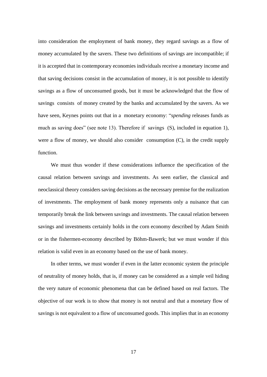into consideration the employment of bank money, they regard savings as a flow of money accumulated by the savers. These two definitions of savings are incompatible; if it is accepted that in contemporary economies individuals receive a monetary income and that saving decisions consist in the accumulation of money, it is not possible to identify savings as a flow of unconsumed goods, but it must be acknowledged that the flow of savings consists of money created by the banks and accumulated by the savers. As we have seen, Keynes points out that in a monetary economy: "*spending* releases funds as much as saving does" (see note 13). Therefore if savings (S), included in equation 1), were a flow of money, we should also consider consumption (C), in the credit supply function.

We must thus wonder if these considerations influence the specification of the causal relation between savings and investments. As seen earlier, the classical and neoclassical theory considers saving decisions as the necessary premise for the realization of investments. The employment of bank money represents only a nuisance that can temporarily break the link between savings and investments. The causal relation between savings and investments certainly holds in the corn economy described by Adam Smith or in the fishermen-economy described by Böhm-Bawerk; but we must wonder if this relation is valid even in an economy based on the use of bank money.

In other terms, we must wonder if even in the latter economic system the principle of neutrality of money holds, that is, if money can be considered as a simple veil hiding the very nature of economic phenomena that can be defined based on real factors. The objective of our work is to show that money is not neutral and that a monetary flow of savings is not equivalent to a flow of unconsumed goods. This implies that in an economy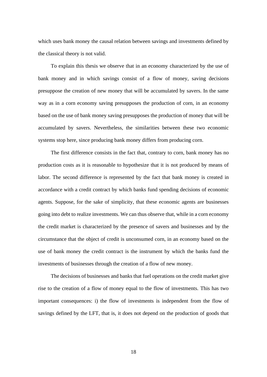which uses bank money the causal relation between savings and investments defined by the classical theory is not valid.

To explain this thesis we observe that in an economy characterized by the use of bank money and in which savings consist of a flow of money, saving decisions presuppose the creation of new money that will be accumulated by savers. In the same way as in a corn economy saving presupposes the production of corn, in an economy based on the use of bank money saving presupposes the production of money that will be accumulated by savers. Nevertheless, the similarities between these two economic systems stop here, since producing bank money differs from producing corn.

The first difference consists in the fact that, contrary to corn, bank money has no production costs as it is reasonable to hypothesize that it is not produced by means of labor. The second difference is represented by the fact that bank money is created in accordance with a credit contract by which banks fund spending decisions of economic agents. Suppose, for the sake of simplicity, that these economic agents are businesses going into debt to realize investments. We can thus observe that, while in a corn economy the credit market is characterized by the presence of savers and businesses and by the circumstance that the object of credit is unconsumed corn, in an economy based on the use of bank money the credit contract is the instrument by which the banks fund the investments of businesses through the creation of a flow of new money.

The decisions of businesses and banks that fuel operations on the credit market give rise to the creation of a flow of money equal to the flow of investments. This has two important consequences: i) the flow of investments is independent from the flow of savings defined by the LFT, that is, it does not depend on the production of goods that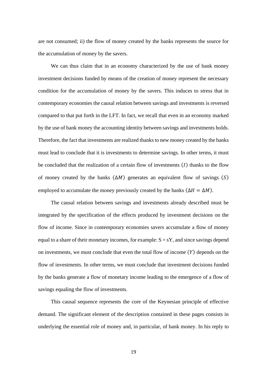are not consumed; ii) the flow of money created by the banks represents the source for the accumulation of money by the savers.

We can thus claim that in an economy characterized by the use of bank money investment decisions funded by means of the creation of money represent the necessary condition for the accumulation of money by the savers. This induces to stress that in contemporary economies the causal relation between savings and investments is reversed compared to that put forth in the LFT. In fact, we recall that even in an economy marked by the use of bank money the accounting identity between savings and investments holds. Therefore, the fact that investments are realized thanks to new money created by the banks must lead to conclude that it is investments to determine savings. In other terms, it must be concluded that the realization of a certain flow of investments  $(I)$  thanks to the flow of money created by the banks  $(\Delta M)$  generates an equivalent flow of savings  $(S)$ employed to accumulate the money previously created by the banks ( $\Delta H = \Delta M$ ).

The causal relation between savings and investments already described must be integrated by the specification of the effects produced by investment decisions on the flow of income. Since in contemporary economies savers accumulate a flow of money equal to a share of their monetary incomes, for example:  $S = sY$ , and since savings depend on investments, we must conclude that even the total flow of income  $(Y)$  depends on the flow of investments. In other terms, we must conclude that investment decisions funded by the banks generate a flow of monetary income leading to the emergence of a flow of savings equaling the flow of investments.

This causal sequence represents the core of the Keynesian principle of effective demand. The significant element of the description contained in these pages consists in underlying the essential role of money and, in particular, of bank money. In his reply to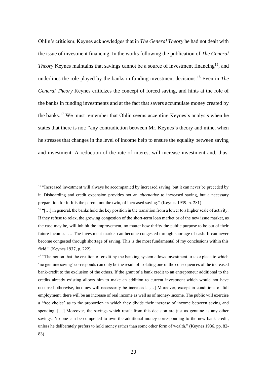Ohlin's criticism, Keynes acknowledges that in *The General Theory* he had not dealt with the issue of investment financing. In the works following the publication of *The General Theory* Keynes maintains that savings cannot be a source of investment financing<sup>15</sup>, and underlines the role played by the banks in funding investment decisions.<sup>16</sup> Even in *The General Theory* Keynes criticizes the concept of forced saving, and hints at the role of the banks in funding investments and at the fact that savers accumulate money created by the banks.<sup>17</sup> We must remember that Ohlin seems accepting Keynes's analysis when he states that there is not: "any contradiction between Mr. Keynes's theory and mine, when he stresses that changes in the level of income help to ensure the equality between saving and investment. A reduction of the rate of interest will increase investment and, thus,

<sup>&</sup>lt;sup>15</sup> "Increased investment will always be accompanied by increased saving, but it can never be preceded by it. Dishoarding and credit expansion provides not an *alternative* to increased saving, but a necessary preparation for it. It is the parent, not the twin, of increased saving." (Keynes 1939, p. 281)

<sup>16</sup> "[…] in general, the banks hold the key position in the transition from a lower to a higher scale of activity. If they refuse to relax, the growing congestion of the short-term loan market or of the new issue market, as the case may be, will inhibit the improvement, no matter how thrifty the public purpose to be out of their future incomes … The investment market can become congested through shortage of cash. It can never become congested through shortage of saving. This is the most fundamental of my conclusions within this field." (Keynes 1937, p. 222)

 $17$  "The notion that the creation of credit by the banking system allows investment to take place to which 'no genuine saving' corresponds can only be the result of isolating one of the consequences of the increased bank-credit to the exclusion of the others. If the grant of a bank credit to an entrepreneur additional to the credits already existing allows him to make an addition to current investment which would not have occurred otherwise, incomes will necessarily be increased. […] Moreover, except in conditions of full employment, there will be an increase of real income as well as of money-income. The public will exercise a 'free choice' as to the proportion in which they divide their increase of income between saving and spending. [...] Moreover, the savings which result from this decision are just as genuine as any other savings. No one can be compelled to own the additional money corresponding to the new bank-credit, unless he deliberately prefers to hold money rather than some other form of wealth." (Keynes 1936, pp. 82- 83)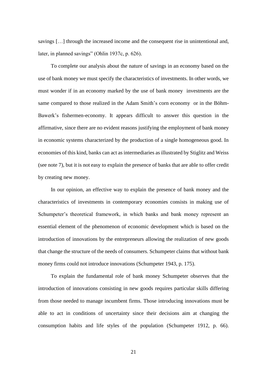savings […] through the increased income and the consequent rise in unintentional and, later, in planned savings" (Ohlin 1937c, p. 626).

To complete our analysis about the nature of savings in an economy based on the use of bank money we must specify the characteristics of investments. In other words, we must wonder if in an economy marked by the use of bank money investments are the same compared to those realized in the Adam Smith's corn economy or in the Böhm-Bawerk's fishermen-economy. It appears difficult to answer this question in the affirmative, since there are no evident reasons justifying the employment of bank money in economic systems characterized by the production of a single homogeneous good. In economies of this kind, banks can act as intermediaries as illustrated by Stiglitz and Weiss (see note 7), but it is not easy to explain the presence of banks that are able to offer credit by creating new money.

In our opinion, an effective way to explain the presence of bank money and the characteristics of investments in contemporary economies consists in making use of Schumpeter's theoretical framework, in which banks and bank money represent an essential element of the phenomenon of economic development which is based on the introduction of innovations by the entrepreneurs allowing the realization of new goods that change the structure of the needs of consumers. Schumpeter claims that without bank money firms could not introduce innovations (Schumpeter 1943, p. 175).

To explain the fundamental role of bank money Schumpeter observes that the introduction of innovations consisting in new goods requires particular skills differing from those needed to manage incumbent firms. Those introducing innovations must be able to act in conditions of uncertainty since their decisions aim at changing the consumption habits and life styles of the population (Schumpeter 1912, p. 66).

21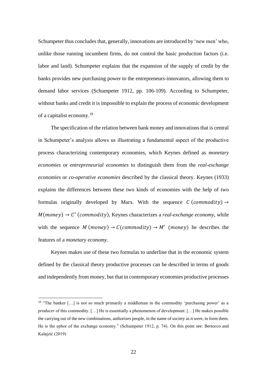Schumpeter thus concludes that, generally, innovations are introduced by 'new men' who, unlike those running incumbent firms, do not control the basic production factors (i.e. labor and land). Schumpeter explains that the expansion of the supply of credit by the banks provides new purchasing power to the entrepreneurs-innovators, allowing them to demand labor services (Schumpeter 1912, pp. 106-109). According to Schumpeter, without banks and credit it is impossible to explain the process of economic development of a capitalist economy.<sup>18</sup>

The specification of the relation between bank money and innovations that is central in Schumpeter's analysis allows us illustrating a fundamental aspect of the productive process characterizing contemporary economies, which Keynes defined as *monetary economies* or *entrepreneurial economies* to distinguish them from the *real-exchange economies* or *co-operative economies* described by the classical theory. Keynes (1933) explains the differences between these two kinds of economies with the help of two formulas originally developed by Marx. With the sequence  $C$  (commodity)  $\rightarrow$  $M(money) \rightarrow C'$  (commodity), Keynes characterizes a *real-exchange economy*, while with the sequence  $M$  (money)  $\rightarrow$   $C$ (commodity)  $\rightarrow$   $M'$  (money) he describes the features of a *monetary economy*.

Keynes makes use of these two formulas to underline that in the economic system defined by the classical theory productive processes can be described in terms of goods and independently from money, but that in contemporary economies productive processes

 $18$  "The banker [...] is not so much primarily a middleman in the commodity 'purchasing power' as a *producer* of this commodity. [...] He is essentially a phenomenon of development. [...] He makes possible the carrying out of the new combinations, authorizes people, in the name of society as it were, to form them. He is the ephor of the exchange economy." (Schumpeter 1912, p. 74). On this point see: Bertocco and Kalajzić (2019)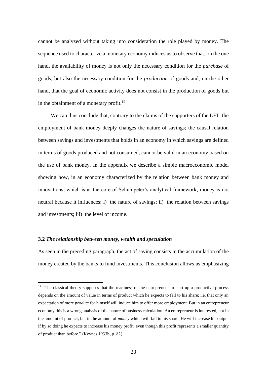cannot be analyzed without taking into consideration the role played by money. The sequence used to characterize a monetary economy induces us to observe that, on the one hand, the availability of money is not only the necessary condition for the *purchase* of goods, but also the necessary condition for the *production* of goods and, on the other hand, that the goal of economic activity does not consist in the production of goods but in the obtainment of a monetary profit.<sup>19</sup>

We can thus conclude that, contrary to the claims of the supporters of the LFT, the employment of bank money deeply changes the nature of savings; the causal relation between savings and investments that holds in an economy in which savings are defined in terms of goods produced and not consumed, cannot be valid in an economy based on the use of bank money. In the appendix we describe a simple macroeconomic model showing how, in an economy characterized by the relation between bank money and innovations, which is at the core of Schumpeter's analytical framework, money is not neutral because it influences: i) the nature of savings; ii) the relation between savings and investments; iii) the level of income.

#### **3.2** *The relationship between money, wealth and speculation*

As seen in the preceding paragraph, the act of saving consists in the accumulation of the money created by the banks to fund investments. This conclusion allows us emphasizing

<sup>&</sup>lt;sup>19</sup> "The classical theory supposes that the readiness of the entrepreneur to start up a productive process depends on the amount of value in terms of product which he expects to fall to his share; i.e. that only an expectation of more *product* for himself will induce him to offer more employment. But in an entrepreneur economy this is a wrong analysis of the nature of business calculation. An entrepreneur is interested, not in the amount of product, but in the amount of *money* which will fall to his share. He will increase his output if by so doing he expects to increase his money profit, even though this profit represents a smaller quantity of product than before." (Keynes 1933b, p. 82)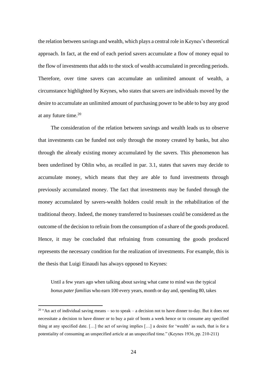the relation between savings and wealth, which plays a central role in Keynes's theoretical approach. In fact, at the end of each period savers accumulate a flow of money equal to the flow of investments that adds to the stock of wealth accumulated in preceding periods. Therefore, over time savers can accumulate an unlimited amount of wealth, a circumstance highlighted by Keynes, who states that savers are individuals moved by the desire to accumulate an unlimited amount of purchasing power to be able to buy any good at any future time.<sup>20</sup>

The consideration of the relation between savings and wealth leads us to observe that investments can be funded not only through the money created by banks, but also through the already existing money accumulated by the savers. This phenomenon has been underlined by Ohlin who, as recalled in par. 3.1, states that savers may decide to accumulate money, which means that they are able to fund investments through previously accumulated money. The fact that investments may be funded through the money accumulated by savers-wealth holders could result in the rehabilitation of the traditional theory. Indeed, the money transferred to businesses could be considered as the outcome of the decision to refrain from the consumption of a share of the goods produced. Hence, it may be concluded that refraining from consuming the goods produced represents the necessary condition for the realization of investments. For example, this is the thesis that Luigi Einaudi has always opposed to Keynes:

Until a few years ago when talking about saving what came to mind was the typical *bonus pater familias* who earn 100 every years, month or day and, spending 80, takes

<sup>20</sup> "An act of individual saving means – so to speak – a decision not to have dinner to-day. But it does *not* necessitate a decision to have dinner or to buy a pair of boots a week hence or to consume any specified thing at any specified date. […] the act of saving implies […] a desire for 'wealth' as such, that is for a potentiality of consuming an unspecified article at an unspecified time." (Keynes 1936, pp. 210-211)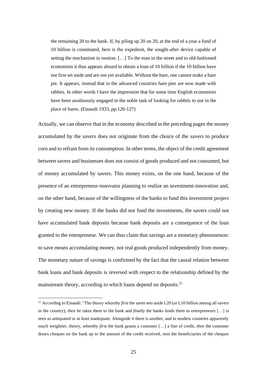the remaining 20 to the bank. If, by piling up 20 on 20, at the end of a year a fund of 10 billion is constituted, here is the expedient, the sought-after device capable of setting the mechanism in motion. […] To the man in the street and to old-fashioned economists it thus appears absurd to obtain a loan of 10 billion if the 10 billion have not first set aside and are not yet available. Without the hare, one cannot make a hare pie. It appears, instead that in the advanced countries hare pies are now made with rabbits. In other words I have the impression that for some time English economists have been assiduously engaged in the noble task of looking for rabbits to use in the place of hares. (Einaudi 1933, pp.126-127)

Actually, we can observe that in the economy described in the preceding pages the money accumulated by the savers does not originate from the choice of the savers to produce corn and to refrain from its consumption. In other terms, the object of the credit agreement between savers and businesses does not consist of goods produced and not consumed, but of money accumulated by savers. This money exists, on the one hand, because of the presence of an entrepreneur-innovator planning to realize an investment-innovation and, on the other hand, because of the willingness of the banks to fund this investment project by creating new money. If the banks did not fund the investments, the savers could not have accumulated bank deposits because bank deposits are a consequence of the loan granted to the entrepreneur. We can thus claim that savings are a monetary phenomenon: to save means accumulating money, not real goods produced independently from money. The monetary nature of savings is confirmed by the fact that the causal relation between bank loans and bank deposits is reversed with respect to the relationship defined by the mainstream theory, according to which loans depend on deposits.<sup>21</sup>

<sup>21</sup> According to Einaudi: "The theory whereby *first* the saver sets aside L20 (or L10 billion among all savers in the country), *then* he takes them to the bank and *finally* the banks lends them to entrepreneurs […] is seen as antiquated or at least inadequate. Alongside it there is another, and in modern countries apparently much weightier, theory, whereby *first* the bank grants a customer […] a line of credit, *then* the customer draws cheques on the bank up to the amount of the credit received, *next* the beneficiaries of the cheques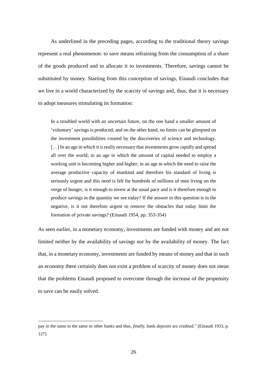As underlined in the preceding pages, according to the traditional theory savings represent a real phenomenon: to save means refraining from the consumption of a share of the goods produced and to allocate it to investments. Therefore, savings cannot be substituted by money. Starting from this conception of savings, Einaudi concludes that we live in a world characterized by the scarcity of savings and, thus, that it is necessary to adopt measures stimulating its formation:

In a troubled world with an uncertain future, on the one hand a smaller amount of 'voluntary' savings is produced; and on the other hand, no limits can be glimpsed on the investment possibilities created by the discoveries of science and technology. [...] In an age in which it is really necessary that investments grow rapidly and spread all over the world; in an age in which the amount of capital needed to employ a working unit is becoming higher and higher; in an age in which the need to raise the average productive capacity of mankind and therefore his standard of living is seriously urgent and this need is felt for hundreds of millions of men living on the verge of hunger, is it enough to invest at the usual pace and is it therefore enough to produce savings in the quantity we see today? If the answer to this question is in the negative, is it not therefore urgent to remove the obstacles that today limit the formation of private savings? (Einaudi 1954, pp. 353-354)

As seen earlier, in a monetary economy, investments are funded with money and are not limited neither by the availability of savings nor by the availability of money. The fact that, in a monetary economy, investments are funded by means of money and that in such an economy there certainly does not exist a problem of scarcity of money does not mean that the problems Einaudi proposed to overcome through the increase of the propensity to save can be easily solved.

pay in the sums to the same or other banks and thus, *finally,* bank *deposits* are credited." (Einaudi 1933, p. 127)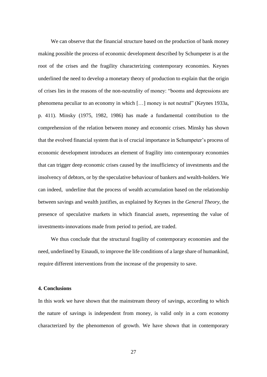We can observe that the financial structure based on the production of bank money making possible the process of economic development described by Schumpeter is at the root of the crises and the fragility characterizing contemporary economies. Keynes underlined the need to develop a monetary theory of production to explain that the origin of crises lies in the reasons of the non-neutrality of money: "booms and depressions are phenomena peculiar to an economy in which […] money is not neutral" (Keynes 1933a, p. 411). Minsky (1975, 1982, 1986) has made a fundamental contribution to the comprehension of the relation between money and economic crises. Minsky has shown that the evolved financial system that is of crucial importance in Schumpeter's process of economic development introduces an element of fragility into contemporary economies that can trigger deep economic crises caused by the insufficiency of investments and the insolvency of debtors, or by the speculative behaviour of bankers and wealth-holders. We can indeed, underline that the process of wealth accumulation based on the relationship between savings and wealth justifies, as explained by Keynes in the *General Theory,* the presence of speculative markets in which financial assets, representing the value of investments-innovations made from period to period, are traded.

We thus conclude that the structural fragility of contemporary economies and the need, underlined by Einaudi, to improve the life conditions of a large share of humankind, require different interventions from the increase of the propensity to save.

#### **4. Conclusions**

In this work we have shown that the mainstream theory of savings, according to which the nature of savings is independent from money, is valid only in a corn economy characterized by the phenomenon of growth. We have shown that in contemporary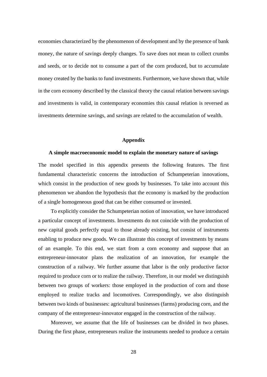economies characterized by the phenomenon of development and by the presence of bank money, the nature of savings deeply changes. To save does not mean to collect crumbs and seeds, or to decide not to consume a part of the corn produced, but to accumulate money created by the banks to fund investments. Furthermore, we have shown that, while in the corn economy described by the classical theory the causal relation between savings and investments is valid, in contemporary economies this causal relation is reversed as investments determine savings, and savings are related to the accumulation of wealth.

#### **Appendix**

#### **A simple macroeconomic model to explain the monetary nature of savings**

The model specified in this appendix presents the following features. The first fundamental characteristic concerns the introduction of Schumpeterian innovations, which consist in the production of new goods by businesses. To take into account this phenomenon we abandon the hypothesis that the economy is marked by the production of a single homogeneous good that can be either consumed or invested.

To explicitly consider the Schumpeterian notion of innovation, we have introduced a particular concept of investments. Investments do not coincide with the production of new capital goods perfectly equal to those already existing, but consist of instruments enabling to produce new goods. We can illustrate this concept of investments by means of an example. To this end, we start from a corn economy and suppose that an entrepreneur-innovator plans the realization of an innovation, for example the construction of a railway. We further assume that labor is the only productive factor required to produce corn or to realize the railway. Therefore, in our model we distinguish between two groups of workers: those employed in the production of corn and those employed to realize tracks and locomotives. Correspondingly, we also distinguish between two kinds of businesses: agricultural businesses (farms) producing corn, and the company of the entrepreneur-innovator engaged in the construction of the railway.

Moreover, we assume that the life of businesses can be divided in two phases. During the first phase, entrepreneurs realize the instruments needed to produce a certain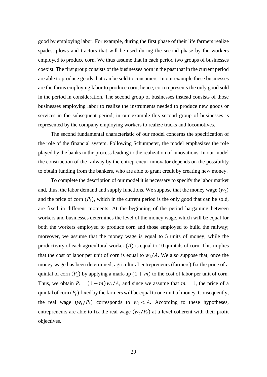good by employing labor. For example, during the first phase of their life farmers realize spades, plows and tractors that will be used during the second phase by the workers employed to produce corn. We thus assume that in each period two groups of businesses coexist. The first group consists of the businesses born in the past that in the current period are able to produce goods that can be sold to consumers. In our example these businesses are the farms employing labor to produce corn; hence, corn represents the only good sold in the period in consideration. The second group of businesses instead consists of those businesses employing labor to realize the instruments needed to produce new goods or services in the subsequent period; in our example this second group of businesses is represented by the company employing workers to realize tracks and locomotives.

The second fundamental characteristic of our model concerns the specification of the role of the financial system. Following Schumpeter, the model emphasizes the role played by the banks in the process leading to the realization of innovations. In our model the construction of the railway by the entrepreneur-innovator depends on the possibility to obtain funding from the bankers, who are able to grant credit by creating new money.

To complete the description of our model it is necessary to specify the labor market and, thus, the labor demand and supply functions. We suppose that the money wage  $(w_t)$ and the price of corn  $(P_t)$ , which in the current period is the only good that can be sold, are fixed in different moments. At the beginning of the period bargaining between workers and businesses determines the level of the money wage, which will be equal for both the workers employed to produce corn and those employed to build the railway; moreover, we assume that the money wage is equal to 5 units of money, while the productivity of each agricultural worker  $(A)$  is equal to 10 quintals of corn. This implies that the cost of labor per unit of corn is equal to  $w_t/A$ . We also suppose that, once the money wage has been determined, agricultural entrepreneurs (farmers) fix the price of a quintal of corn  $(P_t)$  by applying a mark-up  $(1 + m)$  to the cost of labor per unit of corn. Thus, we obtain  $P_t = (1 + m) w_t / A$ , and since we assume that  $m = 1$ , the price of a quintal of corn  $(P_t)$  fixed by the farmers will be equal to one unit of money. Consequently, the real wage  $(w_t/P_t)$  corresponds to  $w_t < A$ . According to these hypotheses, entrepreneurs are able to fix the real wage  $(w_t/P_t)$  at a level coherent with their profit objectives.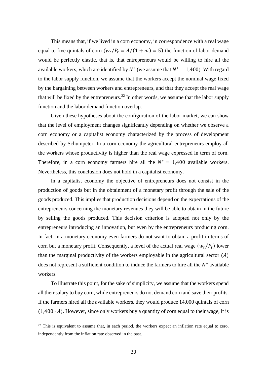This means that, if we lived in a corn economy, in correspondence with a real wage equal to five quintals of corn  $(w_t/P_t = A/(1 + m) = 5)$  the function of labor demand would be perfectly elastic, that is, that entrepreneurs would be willing to hire all the available workers, which are identified by  $N^*$  (we assume that  $N^* = 1,400$ ). With regard to the labor supply function, we assume that the workers accept the nominal wage fixed by the bargaining between workers and entrepreneurs, and that they accept the real wage that will be fixed by the entrepreneurs.<sup>22</sup> In other words, we assume that the labor supply function and the labor demand function overlap.

Given these hypotheses about the configuration of the labor market, we can show that the level of employment changes significantly depending on whether we observe a corn economy or a capitalist economy characterized by the process of development described by Schumpeter. In a corn economy the agricultural entrepreneurs employ all the workers whose productivity is higher than the real wage expressed in term of corn. Therefore, in a corn economy farmers hire all the  $N^* = 1,400$  available workers. Nevertheless, this conclusion does not hold in a capitalist economy.

In a capitalist economy the objective of entrepreneurs does not consist in the production of goods but in the obtainment of a monetary profit through the sale of the goods produced. This implies that production decisions depend on the expectations of the entrepreneurs concerning the monetary revenues they will be able to obtain in the future by selling the goods produced. This decision criterion is adopted not only by the entrepreneurs introducing an innovation, but even by the entrepreneurs producing corn. In fact, in a monetary economy even farmers do not want to obtain a profit in terms of corn but a monetary profit. Consequently, a level of the actual real wage  $(w_t/P_t)$  lower than the marginal productivity of the workers employable in the agricultural sector  $(A)$ does not represent a sufficient condition to induce the farmers to hire all the  $N^*$  available workers.

To illustrate this point, for the sake of simplicity, we assume that the workers spend all their salary to buy corn, while entrepreneurs do not demand corn and save their profits. If the farmers hired all the available workers, they would produce 14,000 quintals of corn  $(1,400 \cdot A)$ . However, since only workers buy a quantity of corn equal to their wage, it is

 $^{22}$  This is equivalent to assume that, in each period, the workers expect an inflation rate equal to zero, independently from the inflation rate observed in the past.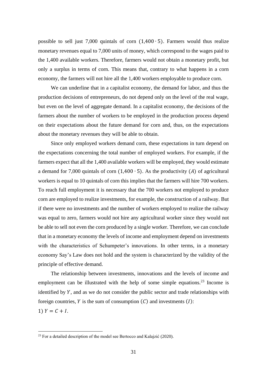possible to sell just 7,000 quintals of corn (1,400 ∙ 5). Farmers would thus realize monetary revenues equal to 7,000 units of money, which correspond to the wages paid to the 1,400 available workers. Therefore, farmers would not obtain a monetary profit, but only a surplus in terms of corn. This means that, contrary to what happens in a corn economy, the farmers will not hire all the 1,400 workers employable to produce corn.

We can underline that in a capitalist economy, the demand for labor, and thus the production decisions of entrepreneurs, do not depend only on the level of the real wage, but even on the level of aggregate demand. In a capitalist economy, the decisions of the farmers about the number of workers to be employed in the production process depend on their expectations about the future demand for corn and, thus, on the expectations about the monetary revenues they will be able to obtain.

Since only employed workers demand corn, these expectations in turn depend on the expectations concerning the total number of employed workers. For example, if the farmers expect that all the 1,400 available workers will be employed, they would estimate a demand for 7,000 quintals of corn  $(1,400 \cdot 5)$ . As the productivity (A) of agricultural workers is equal to 10 quintals of corn this implies that the farmers will hire 700 workers. To reach full employment it is necessary that the 700 workers not employed to produce corn are employed to realize investments, for example, the construction of a railway. But if there were no investments and the number of workers employed to realize the railway was equal to zero, farmers would not hire any agricultural worker since they would not be able to sell not even the corn produced by a single worker. Therefore, we can conclude that in a monetary economy the levels of income and employment depend on investments with the characteristics of Schumpeter's innovations. In other terms, in a monetary economy Say's Law does not hold and the system is characterized by the validity of the principle of effective demand.

The relationship between investments, innovations and the levels of income and employment can be illustrated with the help of some simple equations.<sup>23</sup> Income is identified by  $Y$ , and as we do not consider the public sector and trade relationships with foreign countries, Y is the sum of consumption  $(C)$  and investments  $(I)$ : 1)  $Y = C + I$ .

 $^{23}$  For a detailed description of the model see Bertocco and Kalajzić (2020).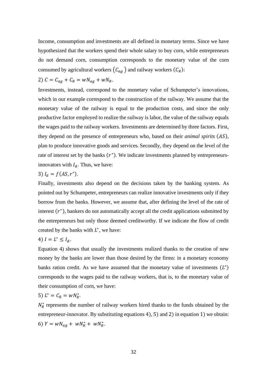Income, consumption and investments are all defined in monetary terms. Since we have hypothesized that the workers spend their whole salary to buy corn, while entrepreneurs do not demand corn, consumption corresponds to the monetary value of the corn consumed by agricultural workers  $(C_{ag})$  and railway workers  $(C_R)$ :

$$
2) C = C_{ag} + C_R = wN_{ag} + wN_R.
$$

Investments, instead, correspond to the monetary value of Schumpeter's innovations, which in our example correspond to the construction of the railway. We assume that the monetary value of the railway is equal to the production costs, and since the only productive factor employed to realize the railway is labor, the value of the railway equals the wages paid to the railway workers. Investments are determined by three factors. First, they depend on the presence of entrepreneurs who, based on their *animal spirits* (AS), plan to produce innovative goods and services. Secondly, they depend on the level of the rate of interest set by the banks  $(r^*)$ . We indicate investments planned by entrepreneursinnovators with  $I_d$ . Thus, we have:

### 3)  $I_d = f(AS, r^*)$ .

Finally, investments also depend on the decisions taken by the banking system. As pointed out by Schumpeter, entrepreneurs can realize innovative investments only if they borrow from the banks. However, we assume that, after defining the level of the rate of interest  $(r^*)$ , bankers do not automatically accept all the credit applications submitted by the entrepreneurs but only those deemed creditworthy. If we indicate the flow of credit created by the banks with  $L^*$ , we have:

$$
4) I = L^* \leq I_d.
$$

Equation 4) shows that usually the investments realized thanks to the creation of new money by the banks are lower than those desired by the firms: in a monetary economy banks ration credit. As we have assumed that the monetary value of investments  $(L^*)$ corresponds to the wages paid to the railway workers, that is, to the monetary value of their consumption of corn, we have:

$$
5) L^* = C_R = w N_R^*.
$$

 $N_R^*$  represents the number of railway workers hired thanks to the funds obtained by the entrepreneur-innovator. By substituting equations 4), 5) and 2) in equation 1) we obtain: 6)  $Y = wN_{ag} + wN_R^* + wN_R^*$ .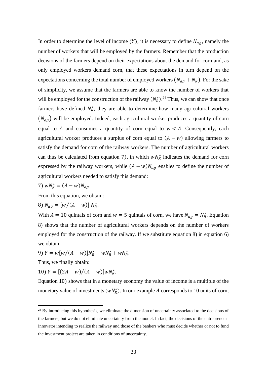In order to determine the level of income  $(Y)$ , it is necessary to define  $N_{ag}$ , namely the number of workers that will be employed by the farmers. Remember that the production decisions of the farmers depend on their expectations about the demand for corn and, as only employed workers demand corn, that these expectations in turn depend on the expectations concerning the total number of employed workers  $(N_{ag} + N_R)$ . For the sake of simplicity, we assume that the farmers are able to know the number of workers that will be employed for the construction of the railway  $(N_R^*)$ .<sup>24</sup> Thus, we can show that once farmers have defined  $N_R^*$ , they are able to determine how many agricultural workers  $(N_{ag})$  will be employed. Indeed, each agricultural worker produces a quantity of corn equal to A and consumes a quantity of corn equal to  $w < A$ . Consequently, each agricultural worker produces a surplus of corn equal to  $(A - w)$  allowing farmers to satisfy the demand for corn of the railway workers. The number of agricultural workers can thus be calculated from equation 7), in which  $wN_R^*$  indicates the demand for corn expressed by the railway workers, while  $(A - w)N_{ag}$  enables to define the number of agricultural workers needed to satisfy this demand:

$$
7) wN_R^* = (A - w)N_{ag}.
$$

From this equation, we obtain:

8) 
$$
N_{ag} = [w/(A - w)] N_R^*
$$
.

With  $A = 10$  quintals of corn and  $w = 5$  quintals of corn, we have  $N_{ag} = N_R^*$ . Equation 8) shows that the number of agricultural workers depends on the number of workers employed for the construction of the railway. If we substitute equation 8) in equation 6) we obtain:

9)  $Y = w[w/(A - w)]N_R^* + wN_R^* + wN_R^*$ .

Thus, we finally obtain:

10)  $Y = [(2A - w)/(A - w)]wN_R^*$ .

Equation 10) shows that in a monetary economy the value of income is a multiple of the monetary value of investments  $(wN_R^*)$ . In our example A corresponds to 10 units of corn,

<sup>&</sup>lt;sup>24</sup> By introducing this hypothesis, we eliminate the dimension of uncertainty associated to the decisions of the farmers, but we do not eliminate uncertainty from the model. In fact, the decisions of the entrepreneurinnovator intending to realize the railway and those of the bankers who must decide whether or not to fund the investment project are taken in conditions of uncertainty.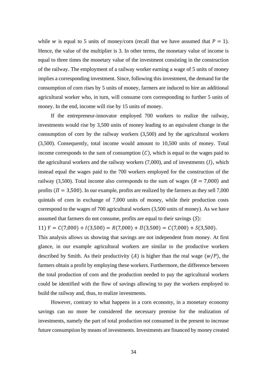while *w* is equal to 5 units of money/corn (recall that we have assumed that  $P = 1$ ). Hence, the value of the multiplier is 3. In other terms, the monetary value of income is equal to three times the monetary value of the investment consisting in the construction of the railway. The employment of a railway worker earning a wage of 5 units of money implies a corresponding investment. Since, following this investment, the demand for the consumption of corn rises by 5 units of money, farmers are induced to hire an additional agricultural worker who, in turn, will consume corn corresponding to further 5 units of money. In the end, income will rise by 15 units of money.

If the entrepreneur-innovator employed 700 workers to realize the railway, investments would rise by 3,500 units of money leading to an equivalent change in the consumption of corn by the railway workers (3,500) and by the agricultural workers (3,500). Consequently, total income would amount to 10,500 units of money. Total income corresponds to the sum of consumption  $(C)$ , which is equal to the wages paid to the agricultural workers and the railway workers  $(7,000)$ , and of investments  $(I)$ , which instead equal the wages paid to the 700 workers employed for the construction of the railway (3,500). Total income also corresponds to the sum of wages ( $R = 7,000$ ) and profits ( $\Pi = 3,500$ ). In our example, profits are realized by the farmers as they sell 7,000 quintals of corn in exchange of 7,000 units of money, while their production costs correspond to the wages of 700 agricultural workers (3,500 units of money). As we have assumed that farmers do not consume, profits are equal to their savings  $(S)$ :

11)  $Y = C(7,000) + I(3,500) = R(7,000) + \Pi(3,500) = C(7,000) + S(3,500).$ 

This analysis allows us showing that savings are not independent from money. At first glance, in our example agricultural workers are similar to the productive workers described by Smith. As their productivity (A) is higher than the real wage  $(w/P)$ , the farmers obtain a profit by employing these workers. Furthermore, the difference between the total production of corn and the production needed to pay the agricultural workers could be identified with the flow of savings allowing to pay the workers employed to build the railway and, thus, to realize investments.

However, contrary to what happens in a corn economy, in a monetary economy savings can no more be considered the necessary premise for the realization of investments, namely the part of total production not consumed in the present to increase future consumption by means of investments. Investments are financed by money created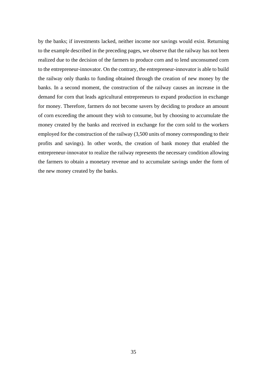by the banks; if investments lacked, neither income nor savings would exist. Returning to the example described in the preceding pages, we observe that the railway has not been realized due to the decision of the farmers to produce corn and to lend unconsumed corn to the entrepreneur-innovator. On the contrary, the entrepreneur-innovator is able to build the railway only thanks to funding obtained through the creation of new money by the banks. In a second moment, the construction of the railway causes an increase in the demand for corn that leads agricultural entrepreneurs to expand production in exchange for money. Therefore, farmers do not become savers by deciding to produce an amount of corn exceeding the amount they wish to consume, but by choosing to accumulate the money created by the banks and received in exchange for the corn sold to the workers employed for the construction of the railway (3,500 units of money corresponding to their profits and savings). In other words, the creation of bank money that enabled the entrepreneur-innovator to realize the railway represents the necessary condition allowing the farmers to obtain a monetary revenue and to accumulate savings under the form of the new money created by the banks.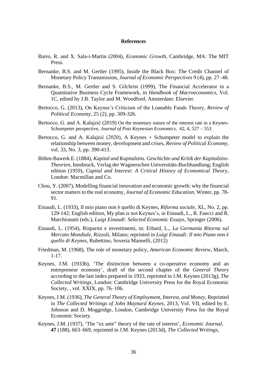#### **References**

- Barro, R. and X. Sala-i-Martin (2004), *Economic Growth*, Cambridge, MA: The MIT Press.
- Bernanke, B.S. and M. Gertler (1995), Inside the Black Box: The Credit Channel of Monetary Policy Transmission, *Journal of Economic Perspectives* 9 (4), pp. 27–48.
- Bernanke, B.S., M. Gertler and S. Gilchrist (1999), The Financial Accelerator in a Quantitative Business Cycle Framework, in *Handbook of Macroeconomics*, Vol. 1C, edited by J.B. Taylor and M. Woodford. Amsterdam: Elsevier.
- Bertocco, G. (2013), On Keynes's Criticism of the Loanable Funds Theory, *Review of Political Economy*, 25 (2), pp. 309-326.
- Bertocco, G. and A. Kalajzić (2019) On the monetary nature of the interest rate in a Keynes-Schumpeter perspective, *Journal of Post Keynesian Economics*, 42, 4, 527 – 553
- Bertocco, G. and A. Kalajzić (2020), A Keynes + Schumpeter model to explain the relationship between money, development and crises, *Review of Political Economy,*  vol. 33, No. 3, pp. 390-413.
- Böhm-Bawerk E. (1884), *Kapital und Kapitalzins. Geschichte und Kritik der Kapitalzins-Theorien*, Innsbruck, Verlag der Wagnerschen Universitäts-Buchhandlung; English edition (1959), *Capital and Interest: A Critical History of Economical Theory*, London: Macmillan and Co.
- Chou, Y. (2007), Modelling financial innovation and economic growth: why the financial sector matters to the real economy, *Journal of Economic Education,* Winter, pp. 78- 91.
- Einaudi, L. (1933), Il mio piano non è quello di Keynes, *Riforma sociale,* XL, No. 2, pp. 129-142; English edition, My plan is not Keynes's, in Einaudi, L., R. Faucci and R. Marchionatti (eds.), *Luigi Einaudi: Selected Economic Essays*, Springer (2006).
- Einaudi, L. (1954), Risparmi e investimenti, in: Erhard, L., *La Germania Ritorna sul Mercato Mondiale,* Rizzoli, Milano; reprinted in *Luigi Einaudi: Il mio Piano non è quello di Keynes*, Rubettino, Soveria Mannelli, (2012)
- Friedman, M. (1968), The role of monetary policy, *American Economic Review,* March, 1-17.
- Keynes, J.M. (1933b), 'The distinction between a co-operative economy and an entrepreneur economy', draft of the second chapter of the *General Theory* according to the last index prepared in 1933, reprinted in J.M. Keynes (2013g), *The Collected Writings*, London: Cambridge University Press for the Royal Economic Society, , vol. XXIX, pp. 76–106.
- Keynes, J.M. (1936), *The General Theory of Employment, Interest, and Money*, Reprinted in *The Collected Writings of John Maynard Keynes*, 2013, Vol. VII, edited by E. Johnson and D. Moggridge, London, Cambridge University Press for the Royal Economic Society.
- Keynes, J.M. (1937), 'The "ex ante" theory of the rate of interest', *Economic Journal*, **47** (188), 663–669, reprinted in J.M. Keynes (2013d), *The Collected Writings*,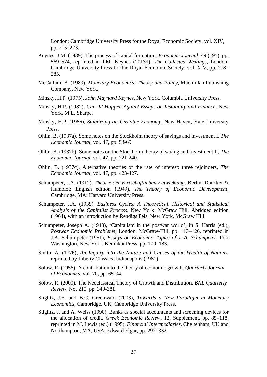London: Cambridge University Press for the Royal Economic Society, vol. XIV, pp. 215–223.

- Keynes, J.M. (1939), The process of capital formation, *Economic Journal*, 49 (195), pp. 569–574, reprinted in J.M. Keynes (2013d), *The Collected Writings*, London: Cambridge University Press for the Royal Economic Society, vol. XIV, pp. 278– 285.
- McCallum, B. (1989), *Monetary Economics: Theory and Policy*, Macmillan Publishing Company, New York.
- Minsky, H.P. (1975), *John Maynard Keynes*, New York, Columbia University Press.
- Minsky, H.P. (1982), *Can 'It' Happen Again? Essays on Instability and Finance*, New York, M.E. Sharpe.
- Minsky, H.P. (1986), *Stabilizing an Unstable Economy*, New Haven, Yale University Press.
- Ohlin, B. (1937a), Some notes on the Stockholm theory of savings and investment I, *The Economic Journal,* vol. 47, pp. 53-69.
- Ohlin, B. (1937b), Some notes on the Stockholm theory of saving and investment II, *The Economic Journal,* vol. 47, pp. 221-240.
- Ohlin, B. (1937c), Alternative theories of the rate of interest: three rejoinders, *The Economic Journal,* vol. 47, pp. 423-427.
- Schumpeter, J.A. (1912), *Theorie der wirtschaftlichen Entwicklung*. Berlin: Duncker & Humblot; English edition (1949), *The Theory of Economic Development*, Cambridge, MA: Harvard University Press.
- Schumpeter, J.A. (1939), *Business Cycles: A Theoretical, Historical and Statistical Analysis of the Capitalist Process*. New York: McGraw Hill. Abridged edition (1964), with an introduction by Rendigs Fels. New York, McGraw Hill.
- Schumpeter, Joseph A. (1943), 'Capitalism in the postwar world', in S. Harris (ed.), *Postwar Economic Problems*, London: McGraw-Hill, pp. 113–126, reprinted in J.A. Schumpeter (1951), *Essays on Economic Topics of J. A. Schumpeter*, Port Washington, New York, Kennikat Press, pp. 170–183.
- Smith, A. (1776), *An Inquiry into the Nature and Causes of the Wealth of Nations*, reprinted by Liberty Classics, Indianapolis (1981).
- Solow, R. (1956), A contribution to the theory of economic growth, *Quarterly Journal of Economics,* vol. 70, pp. 65-94.
- Solow, R. (2000), The Neoclassical Theory of Growth and Distribution, *BNL Quarterly Review,* No. 215*,* pp. 349-381.
- Stiglitz, J.E. and B.C. Greenwald (2003), *Towards a New Paradigm in Monetary Economics*, Cambridge, UK, Cambridge University Press.
- Stiglitz, J. and A. Weiss (1990), Banks as special accountants and screening devices for the allocation of credit, *Greek Economic Review*, 12, Supplement, pp. 85–118, reprinted in M. Lewis (ed.) (1995), *Financial Intermediaries*, Cheltenham, UK and Northampton, MA, USA, Edward Elgar, pp. 297–332.